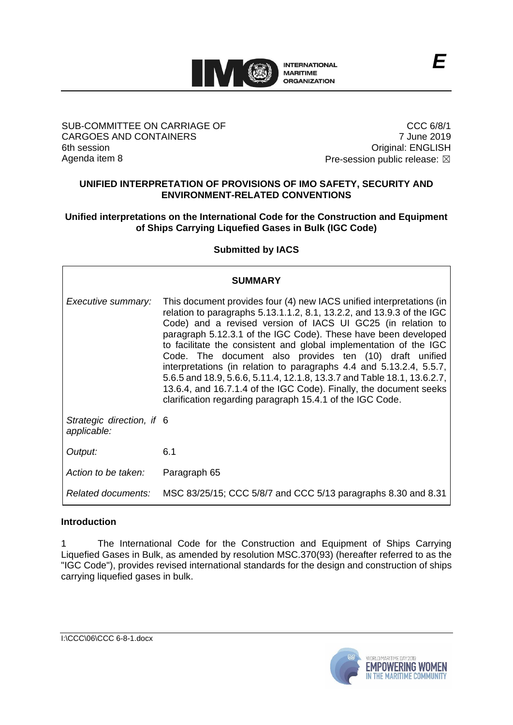

## SUB-COMMITTEE ON CARRIAGE OF CARGOES AND CONTAINERS 6th session Agenda item 8

CCC 6/8/1 7 June 2019 Original: ENGLISH Pre-session public release:  $\boxtimes$ 

## **UNIFIED INTERPRETATION OF PROVISIONS OF IMO SAFETY, SECURITY AND ENVIRONMENT-RELATED CONVENTIONS**

## **Unified interpretations on the International Code for the Construction and Equipment of Ships Carrying Liquefied Gases in Bulk (IGC Code)**

## **Submitted by IACS**

| <b>SUMMARY</b>                           |                                                                                                                                                                                                                                                                                                                                                                                                                                                                                                                                                                                                                                                                                                     |
|------------------------------------------|-----------------------------------------------------------------------------------------------------------------------------------------------------------------------------------------------------------------------------------------------------------------------------------------------------------------------------------------------------------------------------------------------------------------------------------------------------------------------------------------------------------------------------------------------------------------------------------------------------------------------------------------------------------------------------------------------------|
| Executive summary:                       | This document provides four (4) new IACS unified interpretations (in<br>relation to paragraphs 5.13.1.1.2, 8.1, 13.2.2, and 13.9.3 of the IGC<br>Code) and a revised version of IACS UI GC25 (in relation to<br>paragraph 5.12.3.1 of the IGC Code). These have been developed<br>to facilitate the consistent and global implementation of the IGC<br>Code. The document also provides ten (10) draft unified<br>interpretations (in relation to paragraphs 4.4 and 5.13.2.4, 5.5.7,<br>5.6.5 and 18.9, 5.6.6, 5.11.4, 12.1.8, 13.3.7 and Table 18.1, 13.6.2.7,<br>13.6.4, and 16.7.1.4 of the IGC Code). Finally, the document seeks<br>clarification regarding paragraph 15.4.1 of the IGC Code. |
| Strategic direction, if 6<br>applicable: |                                                                                                                                                                                                                                                                                                                                                                                                                                                                                                                                                                                                                                                                                                     |
| Output:                                  | 6.1                                                                                                                                                                                                                                                                                                                                                                                                                                                                                                                                                                                                                                                                                                 |
| Action to be taken:                      | Paragraph 65                                                                                                                                                                                                                                                                                                                                                                                                                                                                                                                                                                                                                                                                                        |
|                                          | Related documents: MSC 83/25/15; CCC 5/8/7 and CCC 5/13 paragraphs 8.30 and 8.31                                                                                                                                                                                                                                                                                                                                                                                                                                                                                                                                                                                                                    |

## **Introduction**

1 The International Code for the Construction and Equipment of Ships Carrying Liquefied Gases in Bulk, as amended by resolution MSC.370(93) (hereafter referred to as the "IGC Code"), provides revised international standards for the design and construction of ships carrying liquefied gases in bulk.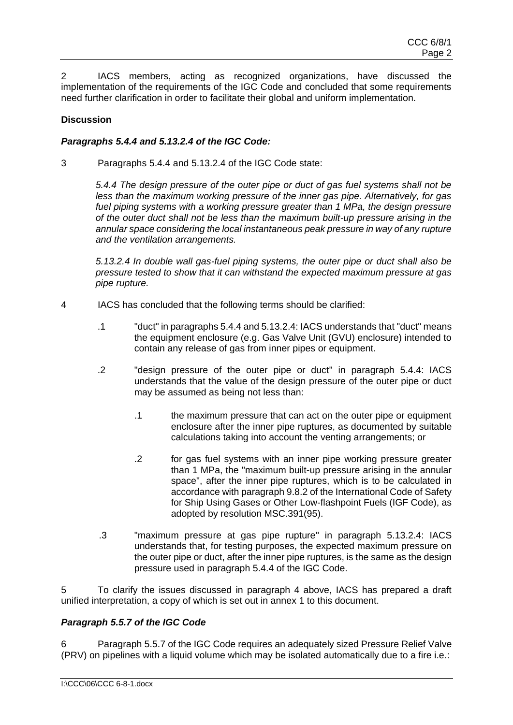2 IACS members, acting as recognized organizations, have discussed the implementation of the requirements of the IGC Code and concluded that some requirements need further clarification in order to facilitate their global and uniform implementation.

## **Discussion**

## *Paragraphs 5.4.4 and 5.13.2.4 of the IGC Code:*

3 Paragraphs 5.4.4 and 5.13.2.4 of the IGC Code state:

*5.4.4 The design pressure of the outer pipe or duct of gas fuel systems shall not be less than the maximum working pressure of the inner gas pipe. Alternatively, for gas fuel piping systems with a working pressure greater than 1 MPa, the design pressure of the outer duct shall not be less than the maximum built-up pressure arising in the annular space considering the local instantaneous peak pressure in way of any rupture and the ventilation arrangements.* 

*5.13.2.4 In double wall gas-fuel piping systems, the outer pipe or duct shall also be pressure tested to show that it can withstand the expected maximum pressure at gas pipe rupture.*

- 4 IACS has concluded that the following terms should be clarified:
	- .1 "duct" in paragraphs 5.4.4 and 5.13.2.4: IACS understands that "duct" means the equipment enclosure (e.g. Gas Valve Unit (GVU) enclosure) intended to contain any release of gas from inner pipes or equipment.
	- .2 "design pressure of the outer pipe or duct" in paragraph 5.4.4: IACS understands that the value of the design pressure of the outer pipe or duct may be assumed as being not less than:
		- .1 the maximum pressure that can act on the outer pipe or equipment enclosure after the inner pipe ruptures, as documented by suitable calculations taking into account the venting arrangements; or
		- .2 for gas fuel systems with an inner pipe working pressure greater than 1 MPa, the "maximum built-up pressure arising in the annular space", after the inner pipe ruptures, which is to be calculated in accordance with paragraph 9.8.2 of the International Code of Safety for Ship Using Gases or Other Low-flashpoint Fuels (IGF Code), as adopted by resolution MSC.391(95).
	- .3 "maximum pressure at gas pipe rupture" in paragraph 5.13.2.4: IACS understands that, for testing purposes, the expected maximum pressure on the outer pipe or duct, after the inner pipe ruptures, is the same as the design pressure used in paragraph 5.4.4 of the IGC Code.

5 To clarify the issues discussed in paragraph 4 above, IACS has prepared a draft unified interpretation, a copy of which is set out in annex 1 to this document.

## *Paragraph 5.5.7 of the IGC Code*

6 Paragraph 5.5.7 of the IGC Code requires an adequately sized Pressure Relief Valve (PRV) on pipelines with a liquid volume which may be isolated automatically due to a fire i.e.: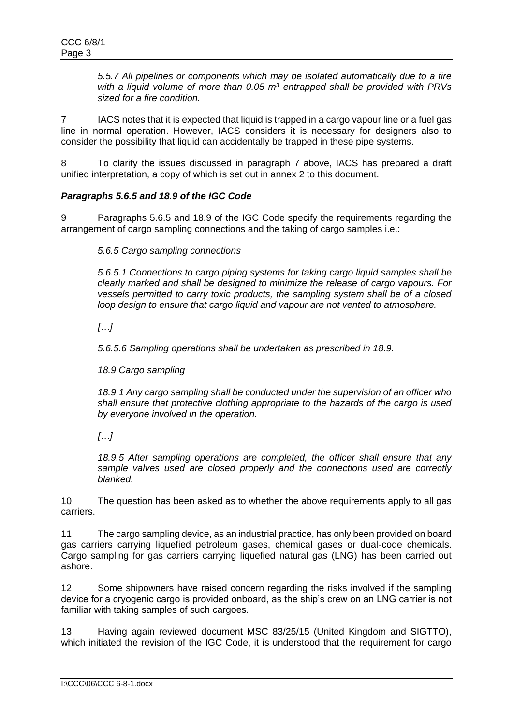*5.5.7 All pipelines or components which may be isolated automatically due to a fire with a liquid volume of more than 0.05 m<sup>3</sup> entrapped shall be provided with PRVs sized for a fire condition.*

7 IACS notes that it is expected that liquid is trapped in a cargo vapour line or a fuel gas line in normal operation. However, IACS considers it is necessary for designers also to consider the possibility that liquid can accidentally be trapped in these pipe systems.

8 To clarify the issues discussed in paragraph 7 above, IACS has prepared a draft unified interpretation, a copy of which is set out in annex 2 to this document.

## *Paragraphs 5.6.5 and 18.9 of the IGC Code*

9 Paragraphs 5.6.5 and 18.9 of the IGC Code specify the requirements regarding the arrangement of cargo sampling connections and the taking of cargo samples i.e.:

*5.6.5 Cargo sampling connections*

*5.6.5.1 Connections to cargo piping systems for taking cargo liquid samples shall be clearly marked and shall be designed to minimize the release of cargo vapours. For vessels permitted to carry toxic products, the sampling system shall be of a closed loop design to ensure that cargo liquid and vapour are not vented to atmosphere.*

*[…]*

*5.6.5.6 Sampling operations shall be undertaken as prescribed in 18.9.*

*18.9 Cargo sampling*

*18.9.1 Any cargo sampling shall be conducted under the supervision of an officer who shall ensure that protective clothing appropriate to the hazards of the cargo is used by everyone involved in the operation.*

*[…]*

*18.9.5 After sampling operations are completed, the officer shall ensure that any sample valves used are closed properly and the connections used are correctly blanked.*

10 The question has been asked as to whether the above requirements apply to all gas carriers.

11 The cargo sampling device, as an industrial practice, has only been provided on board gas carriers carrying liquefied petroleum gases, chemical gases or dual-code chemicals. Cargo sampling for gas carriers carrying liquefied natural gas (LNG) has been carried out ashore.

12 Some shipowners have raised concern regarding the risks involved if the sampling device for a cryogenic cargo is provided onboard, as the ship's crew on an LNG carrier is not familiar with taking samples of such cargoes.

13 Having again reviewed document MSC 83/25/15 (United Kingdom and SIGTTO), which initiated the revision of the IGC Code, it is understood that the requirement for cargo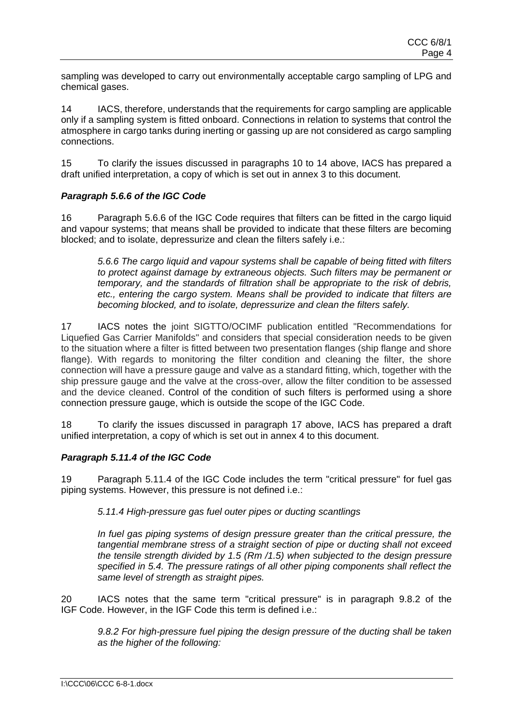sampling was developed to carry out environmentally acceptable cargo sampling of LPG and chemical gases.

14 IACS, therefore, understands that the requirements for cargo sampling are applicable only if a sampling system is fitted onboard. Connections in relation to systems that control the atmosphere in cargo tanks during inerting or gassing up are not considered as cargo sampling connections.

15 To clarify the issues discussed in paragraphs 10 to 14 above, IACS has prepared a draft unified interpretation, a copy of which is set out in annex 3 to this document.

## *Paragraph 5.6.6 of the IGC Code*

16 Paragraph 5.6.6 of the IGC Code requires that filters can be fitted in the cargo liquid and vapour systems; that means shall be provided to indicate that these filters are becoming blocked; and to isolate, depressurize and clean the filters safely i.e.:

*5.6.6 The cargo liquid and vapour systems shall be capable of being fitted with filters to protect against damage by extraneous objects. Such filters may be permanent or temporary, and the standards of filtration shall be appropriate to the risk of debris, etc., entering the cargo system. Means shall be provided to indicate that filters are becoming blocked, and to isolate, depressurize and clean the filters safely.*

17 IACS notes the joint SIGTTO/OCIMF publication entitled "Recommendations for Liquefied Gas Carrier Manifolds" and considers that special consideration needs to be given to the situation where a filter is fitted between two presentation flanges (ship flange and shore flange). With regards to monitoring the filter condition and cleaning the filter, the shore connection will have a pressure gauge and valve as a standard fitting, which, together with the ship pressure gauge and the valve at the cross-over, allow the filter condition to be assessed and the device cleaned. Control of the condition of such filters is performed using a shore connection pressure gauge, which is outside the scope of the IGC Code.

18 To clarify the issues discussed in paragraph 17 above, IACS has prepared a draft unified interpretation, a copy of which is set out in annex 4 to this document.

## *Paragraph 5.11.4 of the IGC Code*

19 Paragraph 5.11.4 of the IGC Code includes the term "critical pressure" for fuel gas piping systems. However, this pressure is not defined i.e.:

## *5.11.4 High-pressure gas fuel outer pipes or ducting scantlings*

*In fuel gas piping systems of design pressure greater than the critical pressure, the tangential membrane stress of a straight section of pipe or ducting shall not exceed the tensile strength divided by 1.5 (Rm /1.5) when subjected to the design pressure specified in 5.4. The pressure ratings of all other piping components shall reflect the same level of strength as straight pipes.*

20 IACS notes that the same term "critical pressure" is in paragraph 9.8.2 of the IGF Code. However, in the IGF Code this term is defined i.e.:

*9.8.2 For high-pressure fuel piping the design pressure of the ducting shall be taken as the higher of the following:*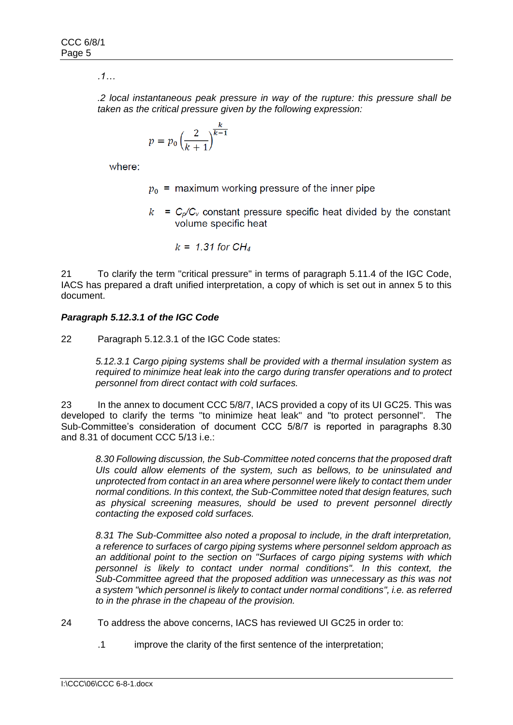*.1…*

*.2 local instantaneous peak pressure in way of the rupture: this pressure shall be taken as the critical pressure given by the following expression:*

$$
p = p_0 \left(\frac{2}{k+1}\right)^{\frac{k}{k-1}}
$$

where:

- $p_0$  = maximum working pressure of the inner pipe
- $k = C_p/C_v$  constant pressure specific heat divided by the constant volume specific heat

$$
k = 1.31 \text{ for } CH_4
$$

21 To clarify the term "critical pressure" in terms of paragraph 5.11.4 of the IGC Code, IACS has prepared a draft unified interpretation, a copy of which is set out in annex 5 to this document.

## *Paragraph 5.12.3.1 of the IGC Code*

22 Paragraph 5.12.3.1 of the IGC Code states:

*5.12.3.1 Cargo piping systems shall be provided with a thermal insulation system as required to minimize heat leak into the cargo during transfer operations and to protect personnel from direct contact with cold surfaces.*

23 In the annex to document CCC 5/8/7, IACS provided a copy of its UI GC25. This was developed to clarify the terms "to minimize heat leak" and "to protect personnel". The Sub-Committee's consideration of document CCC 5/8/7 is reported in paragraphs 8.30 and 8.31 of document CCC 5/13 i.e.:

*8.30 Following discussion, the Sub-Committee noted concerns that the proposed draft UIs could allow elements of the system, such as bellows, to be uninsulated and unprotected from contact in an area where personnel were likely to contact them under normal conditions. In this context, the Sub-Committee noted that design features, such as physical screening measures, should be used to prevent personnel directly contacting the exposed cold surfaces.*

*8.31 The Sub-Committee also noted a proposal to include, in the draft interpretation, a reference to surfaces of cargo piping systems where personnel seldom approach as an additional point to the section on "Surfaces of cargo piping systems with which personnel is likely to contact under normal conditions". In this context, the Sub-Committee agreed that the proposed addition was unnecessary as this was not a system "which personnel is likely to contact under normal conditions", i.e. as referred to in the phrase in the chapeau of the provision.*

- 24 To address the above concerns, IACS has reviewed UI GC25 in order to:
	- .1 improve the clarity of the first sentence of the interpretation;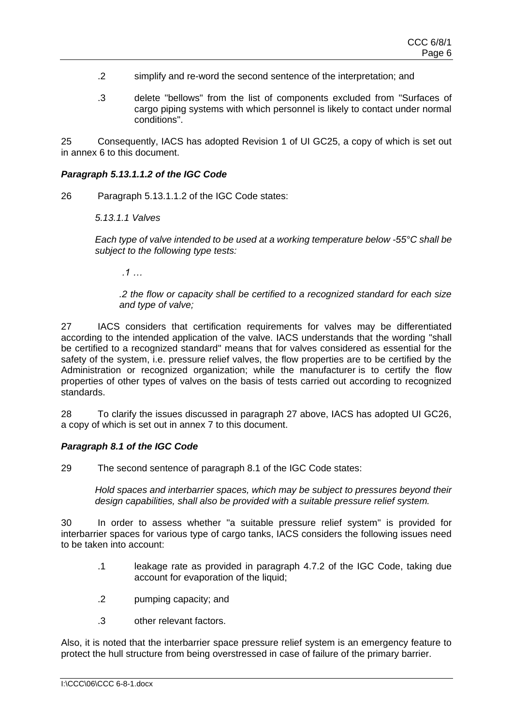- .2 simplify and re-word the second sentence of the interpretation; and
- .3 delete "bellows" from the list of components excluded from "Surfaces of cargo piping systems with which personnel is likely to contact under normal conditions".

25 Consequently, IACS has adopted Revision 1 of UI GC25, a copy of which is set out in annex 6 to this document.

#### *Paragraph 5.13.1.1.2 of the IGC Code*

26 Paragraph 5.13.1.1.2 of the IGC Code states:

*5.13.1.1 Valves*

*Each type of valve intended to be used at a working temperature below -55°C shall be subject to the following type tests:*

*.1 …*

*.2 the flow or capacity shall be certified to a recognized standard for each size and type of valve;*

27 IACS considers that certification requirements for valves may be differentiated according to the intended application of the valve. IACS understands that the wording "shall be certified to a recognized standard" means that for valves considered as essential for the safety of the system, i.e. pressure relief valves, the flow properties are to be certified by the Administration or recognized organization; while the manufacturer is to certify the flow properties of other types of valves on the basis of tests carried out according to recognized standards.

28 To clarify the issues discussed in paragraph 27 above, IACS has adopted UI GC26, a copy of which is set out in annex 7 to this document.

#### *Paragraph 8.1 of the IGC Code*

29 The second sentence of paragraph 8.1 of the IGC Code states:

*Hold spaces and interbarrier spaces, which may be subject to pressures beyond their design capabilities, shall also be provided with a suitable pressure relief system.*

30 In order to assess whether "a suitable pressure relief system" is provided for interbarrier spaces for various type of cargo tanks, IACS considers the following issues need to be taken into account:

- .1 leakage rate as provided in paragraph 4.7.2 of the IGC Code, taking due account for evaporation of the liquid:
- .2 pumping capacity; and
- .3 other relevant factors.

Also, it is noted that the interbarrier space pressure relief system is an emergency feature to protect the hull structure from being overstressed in case of failure of the primary barrier.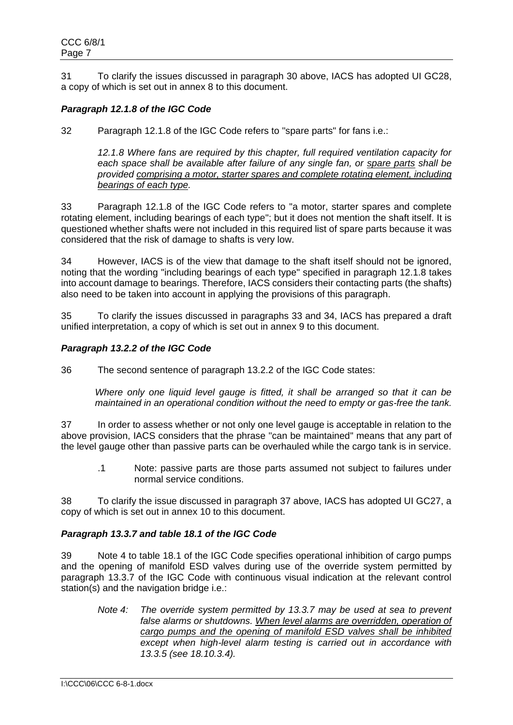31 To clarify the issues discussed in paragraph 30 above, IACS has adopted UI GC28, a copy of which is set out in annex 8 to this document.

## *Paragraph 12.1.8 of the IGC Code*

32 Paragraph 12.1.8 of the IGC Code refers to "spare parts" for fans i.e.:

*12.1.8 Where fans are required by this chapter, full required ventilation capacity for each space shall be available after failure of any single fan, or spare parts shall be provided comprising a motor, starter spares and complete rotating element, including bearings of each type.*

33 Paragraph 12.1.8 of the IGC Code refers to "a motor, starter spares and complete rotating element, including bearings of each type"; but it does not mention the shaft itself. It is questioned whether shafts were not included in this required list of spare parts because it was considered that the risk of damage to shafts is very low.

34 However, IACS is of the view that damage to the shaft itself should not be ignored, noting that the wording "including bearings of each type" specified in paragraph 12.1.8 takes into account damage to bearings. Therefore, IACS considers their contacting parts (the shafts) also need to be taken into account in applying the provisions of this paragraph.

35 To clarify the issues discussed in paragraphs 33 and 34, IACS has prepared a draft unified interpretation, a copy of which is set out in annex 9 to this document.

## *Paragraph 13.2.2 of the IGC Code*

36 The second sentence of paragraph 13.2.2 of the IGC Code states:

*Where only one liquid level gauge is fitted, it shall be arranged so that it can be maintained in an operational condition without the need to empty or gas-free the tank.*

37 In order to assess whether or not only one level gauge is acceptable in relation to the above provision, IACS considers that the phrase "can be maintained" means that any part of the level gauge other than passive parts can be overhauled while the cargo tank is in service.

.1 Note: passive parts are those parts assumed not subject to failures under normal service conditions.

38 To clarify the issue discussed in paragraph 37 above, IACS has adopted UI GC27, a copy of which is set out in annex 10 to this document.

## *Paragraph 13.3.7 and table 18.1 of the IGC Code*

39 Note 4 to table 18.1 of the IGC Code specifies operational inhibition of cargo pumps and the opening of manifold ESD valves during use of the override system permitted by paragraph 13.3.7 of the IGC Code with continuous visual indication at the relevant control station(s) and the navigation bridge i.e.:

*Note 4: The override system permitted by 13.3.7 may be used at sea to prevent*  false alarms or shutdowns. When level alarms are overridden, operation of *cargo pumps and the opening of manifold ESD valves shall be inhibited* except when high-level alarm testing is carried out in accordance with *13.3.5 (see 18.10.3.4).*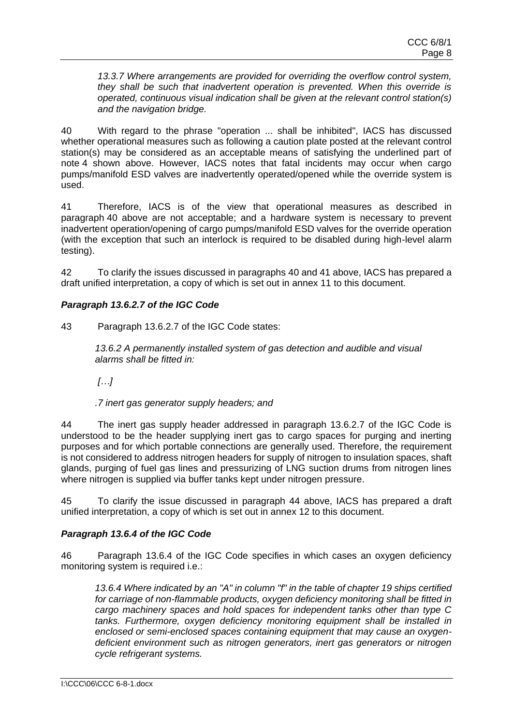*13.3.7 Where arrangements are provided for overriding the overflow control system, they shall be such that inadvertent operation is prevented. When this override is operated, continuous visual indication shall be given at the relevant control station(s) and the navigation bridge.*

40 With regard to the phrase "operation ... shall be inhibited", IACS has discussed whether operational measures such as following a caution plate posted at the relevant control station(s) may be considered as an acceptable means of satisfying the underlined part of note 4 shown above. However, IACS notes that fatal incidents may occur when cargo pumps/manifold ESD valves are inadvertently operated/opened while the override system is used.

41 Therefore, IACS is of the view that operational measures as described in paragraph 40 above are not acceptable; and a hardware system is necessary to prevent inadvertent operation/opening of cargo pumps/manifold ESD valves for the override operation (with the exception that such an interlock is required to be disabled during high-level alarm testing).

42 To clarify the issues discussed in paragraphs 40 and 41 above, IACS has prepared a draft unified interpretation, a copy of which is set out in annex 11 to this document.

## *Paragraph 13.6.2.7 of the IGC Code*

43 Paragraph 13.6.2.7 of the IGC Code states:

*13.6.2 A permanently installed system of gas detection and audible and visual alarms shall be fitted in:* 

*[…]*

*.7 inert gas generator supply headers; and*

44 The inert gas supply header addressed in paragraph 13.6.2.7 of the IGC Code is understood to be the header supplying inert gas to cargo spaces for purging and inerting purposes and for which portable connections are generally used. Therefore, the requirement is not considered to address nitrogen headers for supply of nitrogen to insulation spaces, shaft glands, purging of fuel gas lines and pressurizing of LNG suction drums from nitrogen lines where nitrogen is supplied via buffer tanks kept under nitrogen pressure.

45 To clarify the issue discussed in paragraph 44 above, IACS has prepared a draft unified interpretation, a copy of which is set out in annex 12 to this document.

## *Paragraph 13.6.4 of the IGC Code*

46 Paragraph 13.6.4 of the IGC Code specifies in which cases an oxygen deficiency monitoring system is required i.e.:

*13.6.4 Where indicated by an "A" in column "f" in the table of chapter 19 ships certified for carriage of non-flammable products, oxygen deficiency monitoring shall be fitted in cargo machinery spaces and hold spaces for independent tanks other than type C tanks. Furthermore, oxygen deficiency monitoring equipment shall be installed in enclosed or semi-enclosed spaces containing equipment that may cause an oxygendeficient environment such as nitrogen generators, inert gas generators or nitrogen cycle refrigerant systems.*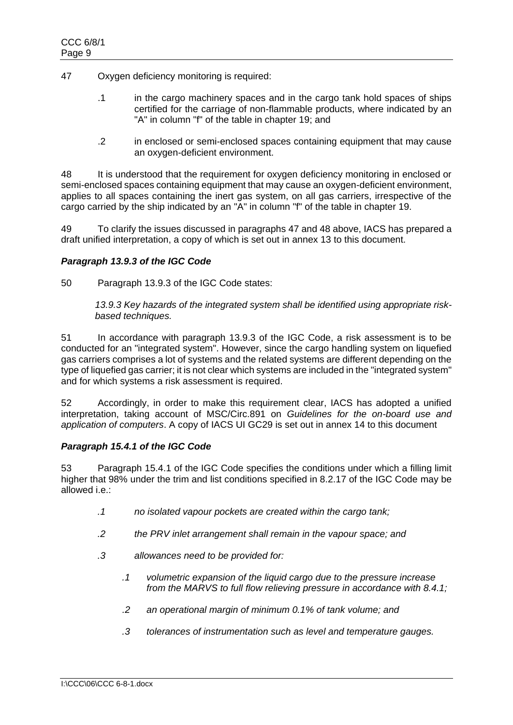- 47 Oxygen deficiency monitoring is required:
	- .1 in the cargo machinery spaces and in the cargo tank hold spaces of ships certified for the carriage of non-flammable products, where indicated by an "A" in column "f" of the table in chapter 19; and
	- .2 in enclosed or semi-enclosed spaces containing equipment that may cause an oxygen-deficient environment.

48 It is understood that the requirement for oxygen deficiency monitoring in enclosed or semi-enclosed spaces containing equipment that may cause an oxygen-deficient environment, applies to all spaces containing the inert gas system, on all gas carriers, irrespective of the cargo carried by the ship indicated by an "A" in column "f" of the table in chapter 19.

49 To clarify the issues discussed in paragraphs 47 and 48 above, IACS has prepared a draft unified interpretation, a copy of which is set out in annex 13 to this document.

## *Paragraph 13.9.3 of the IGC Code*

50 Paragraph 13.9.3 of the IGC Code states:

*13.9.3 Key hazards of the integrated system shall be identified using appropriate riskbased techniques.*

51 In accordance with paragraph 13.9.3 of the IGC Code, a risk assessment is to be conducted for an "integrated system". However, since the cargo handling system on liquefied gas carriers comprises a lot of systems and the related systems are different depending on the type of liquefied gas carrier; it is not clear which systems are included in the "integrated system" and for which systems a risk assessment is required.

52 Accordingly, in order to make this requirement clear, IACS has adopted a unified interpretation, taking account of MSC/Circ.891 on *Guidelines for the on-board use and application of computers*. A copy of IACS UI GC29 is set out in annex 14 to this document

## *Paragraph 15.4.1 of the IGC Code*

53 Paragraph 15.4.1 of the IGC Code specifies the conditions under which a filling limit higher that 98% under the trim and list conditions specified in 8.2.17 of the IGC Code may be allowed i.e.:

- *.1 no isolated vapour pockets are created within the cargo tank;*
- *.2 the PRV inlet arrangement shall remain in the vapour space; and*
- *.3 allowances need to be provided for:* 
	- *.1 volumetric expansion of the liquid cargo due to the pressure increase from the MARVS to full flow relieving pressure in accordance with 8.4.1;*
	- *.2 an operational margin of minimum 0.1% of tank volume; and*
	- *.3 tolerances of instrumentation such as level and temperature gauges.*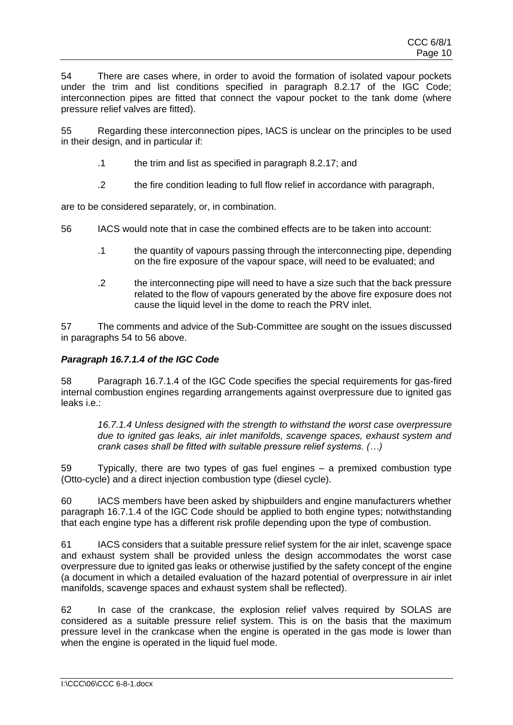54 There are cases where, in order to avoid the formation of isolated vapour pockets under the trim and list conditions specified in paragraph 8.2.17 of the IGC Code; interconnection pipes are fitted that connect the vapour pocket to the tank dome (where pressure relief valves are fitted).

55 Regarding these interconnection pipes, IACS is unclear on the principles to be used in their design, and in particular if:

- .1 the trim and list as specified in paragraph 8.2.17; and
- .2 the fire condition leading to full flow relief in accordance with paragraph,

are to be considered separately, or, in combination.

56 IACS would note that in case the combined effects are to be taken into account:

- .1 the quantity of vapours passing through the interconnecting pipe, depending on the fire exposure of the vapour space, will need to be evaluated; and
- .2 the interconnecting pipe will need to have a size such that the back pressure related to the flow of vapours generated by the above fire exposure does not cause the liquid level in the dome to reach the PRV inlet.

57 The comments and advice of the Sub-Committee are sought on the issues discussed in paragraphs 54 to 56 above.

## *Paragraph 16.7.1.4 of the IGC Code*

58 Paragraph 16.7.1.4 of the IGC Code specifies the special requirements for gas-fired internal combustion engines regarding arrangements against overpressure due to ignited gas leaks i.e.:

*16.7.1.4 Unless designed with the strength to withstand the worst case overpressure due to ignited gas leaks, air inlet manifolds, scavenge spaces, exhaust system and crank cases shall be fitted with suitable pressure relief systems. (…)* 

59 Typically, there are two types of gas fuel engines – a premixed combustion type (Otto-cycle) and a direct injection combustion type (diesel cycle).

60 IACS members have been asked by shipbuilders and engine manufacturers whether paragraph 16.7.1.4 of the IGC Code should be applied to both engine types; notwithstanding that each engine type has a different risk profile depending upon the type of combustion.

61 IACS considers that a suitable pressure relief system for the air inlet, scavenge space and exhaust system shall be provided unless the design accommodates the worst case overpressure due to ignited gas leaks or otherwise justified by the safety concept of the engine (a document in which a detailed evaluation of the hazard potential of overpressure in air inlet manifolds, scavenge spaces and exhaust system shall be reflected).

62 In case of the crankcase, the explosion relief valves required by SOLAS are considered as a suitable pressure relief system. This is on the basis that the maximum pressure level in the crankcase when the engine is operated in the gas mode is lower than when the engine is operated in the liquid fuel mode.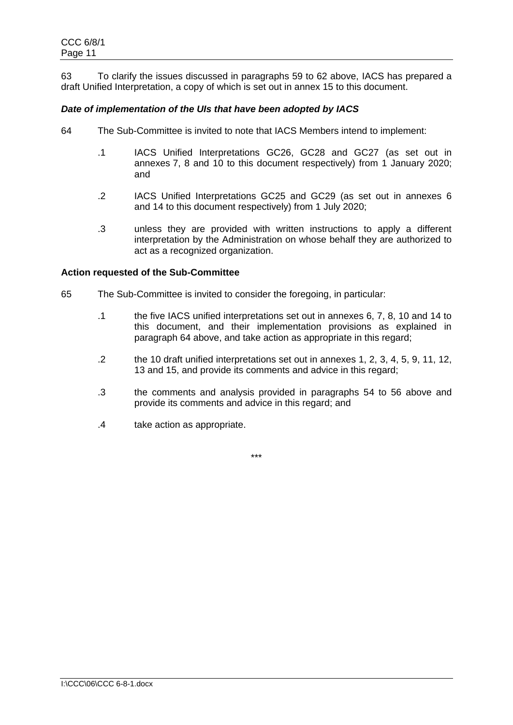63 To clarify the issues discussed in paragraphs 59 to 62 above, IACS has prepared a draft Unified Interpretation, a copy of which is set out in annex 15 to this document.

## *Date of implementation of the UIs that have been adopted by IACS*

- 64 The Sub-Committee is invited to note that IACS Members intend to implement:
	- .1 IACS Unified Interpretations GC26, GC28 and GC27 (as set out in annexes 7, 8 and 10 to this document respectively) from 1 January 2020; and
	- .2 IACS Unified Interpretations GC25 and GC29 (as set out in annexes 6 and 14 to this document respectively) from 1 July 2020;
	- .3 unless they are provided with written instructions to apply a different interpretation by the Administration on whose behalf they are authorized to act as a recognized organization.

#### **Action requested of the Sub-Committee**

- 65 The Sub-Committee is invited to consider the foregoing, in particular:
	- .1 the five IACS unified interpretations set out in annexes 6, 7, 8, 10 and 14 to this document, and their implementation provisions as explained in paragraph 64 above, and take action as appropriate in this regard;
	- .2 the 10 draft unified interpretations set out in annexes 1, 2, 3, 4, 5, 9, 11, 12, 13 and 15, and provide its comments and advice in this regard;
	- .3 the comments and analysis provided in paragraphs 54 to 56 above and provide its comments and advice in this regard; and
	- .4 take action as appropriate.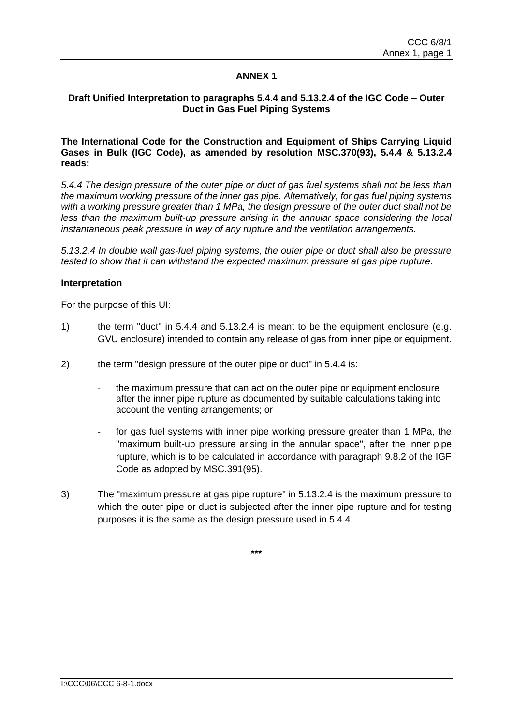## **Draft Unified Interpretation to paragraphs 5.4.4 and 5.13.2.4 of the IGC Code – Outer Duct in Gas Fuel Piping Systems**

## **The International Code for the Construction and Equipment of Ships Carrying Liquid Gases in Bulk (IGC Code), as amended by resolution MSC.370(93), 5.4.4 & 5.13.2.4 reads:**

*5.4.4 The design pressure of the outer pipe or duct of gas fuel systems shall not be less than the maximum working pressure of the inner gas pipe. Alternatively, for gas fuel piping systems with a working pressure greater than 1 MPa, the design pressure of the outer duct shall not be*  less than the maximum built-up pressure arising in the annular space considering the local *instantaneous peak pressure in way of any rupture and the ventilation arrangements.*

*5.13.2.4 In double wall gas-fuel piping systems, the outer pipe or duct shall also be pressure tested to show that it can withstand the expected maximum pressure at gas pipe rupture.*

#### **Interpretation**

For the purpose of this UI:

- 1) the term "duct" in 5.4.4 and 5.13.2.4 is meant to be the equipment enclosure (e.g. GVU enclosure) intended to contain any release of gas from inner pipe or equipment.
- 2) the term "design pressure of the outer pipe or duct" in 5.4.4 is:
	- the maximum pressure that can act on the outer pipe or equipment enclosure after the inner pipe rupture as documented by suitable calculations taking into account the venting arrangements; or
	- for gas fuel systems with inner pipe working pressure greater than 1 MPa, the "maximum built-up pressure arising in the annular space", after the inner pipe rupture, which is to be calculated in accordance with paragraph 9.8.2 of the IGF Code as adopted by MSC.391(95).
- 3) The "maximum pressure at gas pipe rupture" in 5.13.2.4 is the maximum pressure to which the outer pipe or duct is subjected after the inner pipe rupture and for testing purposes it is the same as the design pressure used in 5.4.4.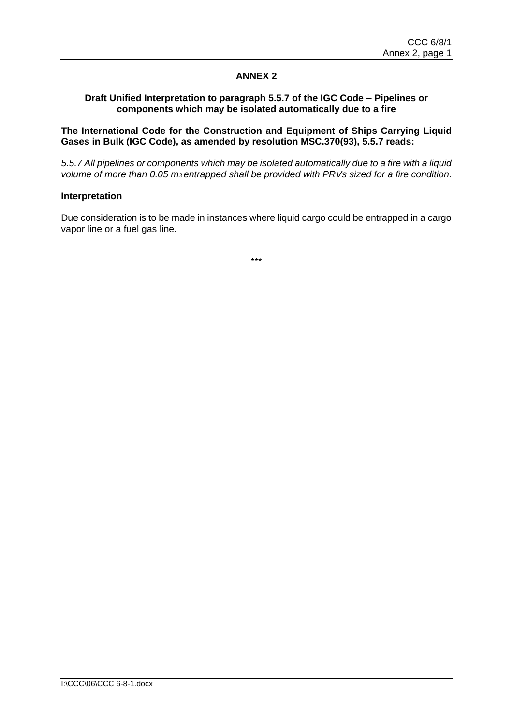## **Draft Unified Interpretation to paragraph 5.5.7 of the IGC Code – Pipelines or components which may be isolated automatically due to a fire**

**The International Code for the Construction and Equipment of Ships Carrying Liquid Gases in Bulk (IGC Code), as amended by resolution MSC.370(93), 5.5.7 reads:**

*5.5.7 All pipelines or components which may be isolated automatically due to a fire with a liquid volume of more than 0.05 m3 entrapped shall be provided with PRVs sized for a fire condition.*

#### **Interpretation**

Due consideration is to be made in instances where liquid cargo could be entrapped in a cargo vapor line or a fuel gas line.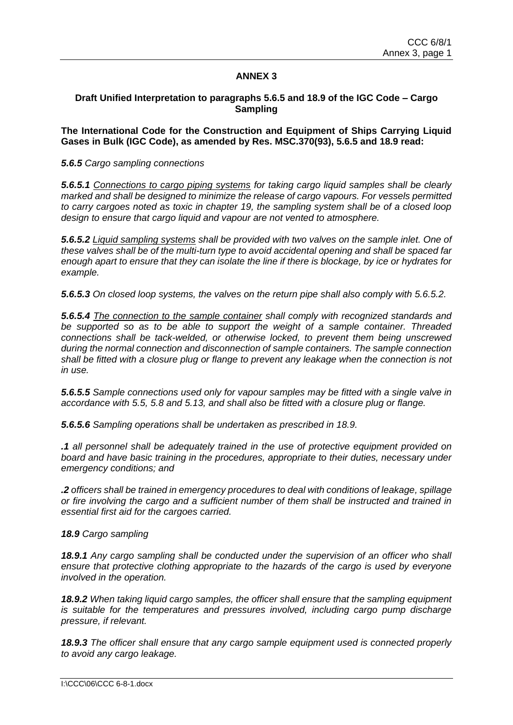#### **Draft Unified Interpretation to paragraphs 5.6.5 and 18.9 of the IGC Code – Cargo Sampling**

**The International Code for the Construction and Equipment of Ships Carrying Liquid Gases in Bulk (IGC Code), as amended by Res. MSC.370(93), 5.6.5 and 18.9 read:**

#### *5.6.5 Cargo sampling connections*

*5.6.5.1 Connections to cargo piping systems for taking cargo liquid samples shall be clearly marked and shall be designed to minimize the release of cargo vapours. For vessels permitted to carry cargoes noted as toxic in chapter 19, the sampling system shall be of a closed loop design to ensure that cargo liquid and vapour are not vented to atmosphere.* 

*5.6.5.2 Liquid sampling systems shall be provided with two valves on the sample inlet. One of these valves shall be of the multi-turn type to avoid accidental opening and shall be spaced far enough apart to ensure that they can isolate the line if there is blockage, by ice or hydrates for example.* 

*5.6.5.3 On closed loop systems, the valves on the return pipe shall also comply with 5.6.5.2.* 

*5.6.5.4 The connection to the sample container shall comply with recognized standards and be supported so as to be able to support the weight of a sample container. Threaded connections shall be tack-welded, or otherwise locked, to prevent them being unscrewed during the normal connection and disconnection of sample containers. The sample connection shall be fitted with a closure plug or flange to prevent any leakage when the connection is not in use.* 

*5.6.5.5 Sample connections used only for vapour samples may be fitted with a single valve in accordance with 5.5, 5.8 and 5.13, and shall also be fitted with a closure plug or flange.* 

*5.6.5.6 Sampling operations shall be undertaken as prescribed in 18.9.*

*.1 all personnel shall be adequately trained in the use of protective equipment provided on board and have basic training in the procedures, appropriate to their duties, necessary under emergency conditions; and* 

*.2 officers shall be trained in emergency procedures to deal with conditions of leakage, spillage or fire involving the cargo and a sufficient number of them shall be instructed and trained in essential first aid for the cargoes carried.* 

*18.9 Cargo sampling* 

*18.9.1 Any cargo sampling shall be conducted under the supervision of an officer who shall ensure that protective clothing appropriate to the hazards of the cargo is used by everyone involved in the operation.* 

*18.9.2 When taking liquid cargo samples, the officer shall ensure that the sampling equipment is suitable for the temperatures and pressures involved, including cargo pump discharge pressure, if relevant.* 

*18.9.3 The officer shall ensure that any cargo sample equipment used is connected properly to avoid any cargo leakage.*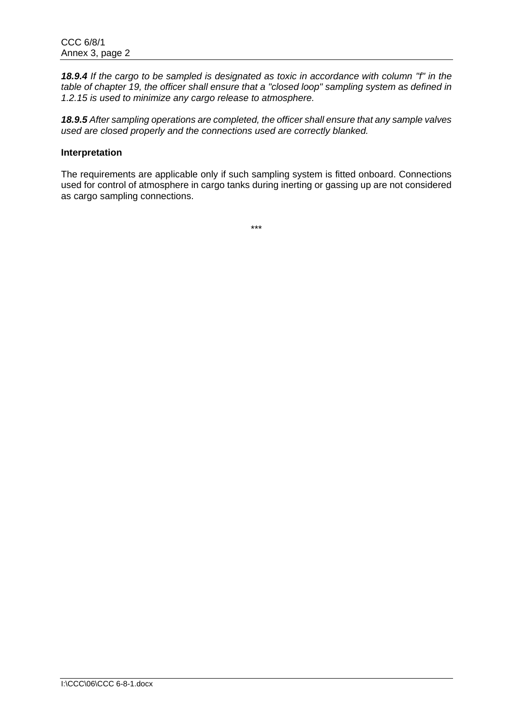*18.9.4 If the cargo to be sampled is designated as toxic in accordance with column "f" in the table of chapter 19, the officer shall ensure that a "closed loop" sampling system as defined in 1.2.15 is used to minimize any cargo release to atmosphere.* 

*18.9.5 After sampling operations are completed, the officer shall ensure that any sample valves used are closed properly and the connections used are correctly blanked.*

#### **Interpretation**

The requirements are applicable only if such sampling system is fitted onboard. Connections used for control of atmosphere in cargo tanks during inerting or gassing up are not considered as cargo sampling connections.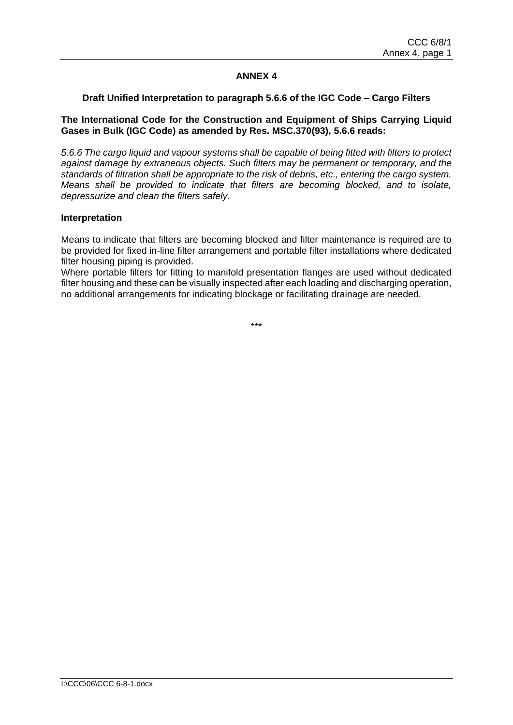## **Draft Unified Interpretation to paragraph 5.6.6 of the IGC Code – Cargo Filters**

#### **The International Code for the Construction and Equipment of Ships Carrying Liquid Gases in Bulk (IGC Code) as amended by Res. MSC.370(93), 5.6.6 reads:**

*5.6.6 The cargo liquid and vapour systems shall be capable of being fitted with filters to protect against damage by extraneous objects. Such filters may be permanent or temporary, and the standards of filtration shall be appropriate to the risk of debris, etc., entering the cargo system. Means shall be provided to indicate that filters are becoming blocked, and to isolate, depressurize and clean the filters safely.*

#### **Interpretation**

Means to indicate that filters are becoming blocked and filter maintenance is required are to be provided for fixed in-line filter arrangement and portable filter installations where dedicated filter housing piping is provided.

Where portable filters for fitting to manifold presentation flanges are used without dedicated filter housing and these can be visually inspected after each loading and discharging operation, no additional arrangements for indicating blockage or facilitating drainage are needed.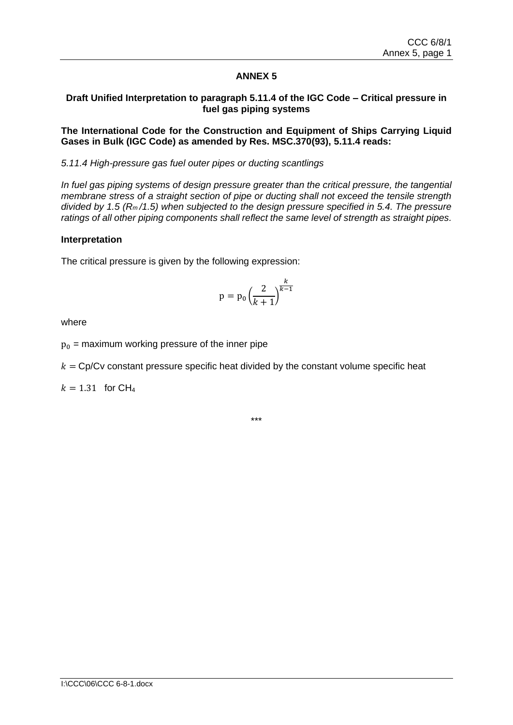## **Draft Unified Interpretation to paragraph 5.11.4 of the IGC Code – Critical pressure in fuel gas piping systems**

## **The International Code for the Construction and Equipment of Ships Carrying Liquid Gases in Bulk (IGC Code) as amended by Res. MSC.370(93), 5.11.4 reads:**

## *5.11.4 High-pressure gas fuel outer pipes or ducting scantlings*

*In fuel gas piping systems of design pressure greater than the critical pressure, the tangential membrane stress of a straight section of pipe or ducting shall not exceed the tensile strength divided by 1.5 (Rm /1.5) when subjected to the design pressure specified in 5.4. The pressure ratings of all other piping components shall reflect the same level of strength as straight pipes.*

## **Interpretation**

The critical pressure is given by the following expression:

$$
p = p_0 \left(\frac{2}{k+1}\right)^{\frac{k}{k-1}}
$$

where

 $p_0$  = maximum working pressure of the inner pipe

 $k = \text{Cp/Cv}$  constant pressure specific heat divided by the constant volume specific heat

 $k = 1.31$  for CH<sub>4</sub>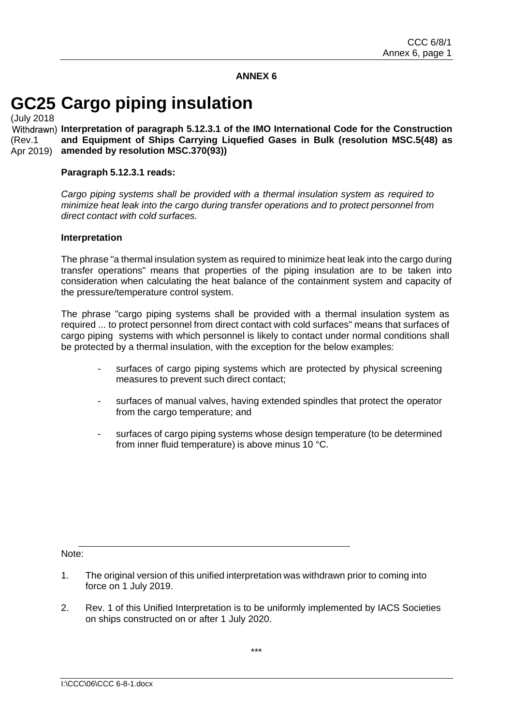# **GC25 Cargo piping insulation**

(July 2018 ) **Interpretation of paragraph 5.12.3.1 of the IMO International Code for the Construction**  (Rev.1 Apr 2019) **and Equipment of Ships Carrying Liquefied Gases in Bulk (resolution MSC.5(48) as amended by resolution MSC.370(93))**

#### **Paragraph 5.12.3.1 reads:**

*Cargo piping systems shall be provided with a thermal insulation system as required to minimize heat leak into the cargo during transfer operations and to protect personnel from direct contact with cold surfaces.*

#### **Interpretation**

The phrase "a thermal insulation system as required to minimize heat leak into the cargo during transfer operations" means that properties of the piping insulation are to be taken into consideration when calculating the heat balance of the containment system and capacity of the pressure/temperature control system.

The phrase "cargo piping systems shall be provided with a thermal insulation system as required ... to protect personnel from direct contact with cold surfaces" means that surfaces of cargo piping systems with which personnel is likely to contact under normal conditions shall be protected by a thermal insulation, with the exception for the below examples:

- surfaces of cargo piping systems which are protected by physical screening measures to prevent such direct contact;
- surfaces of manual valves, having extended spindles that protect the operator from the cargo temperature; and
- surfaces of cargo piping systems whose design temperature (to be determined from inner fluid temperature) is above minus 10 °C.

Note:

- 1. The original version of this unified interpretation was withdrawn prior to coming into force on 1 July 2019.
- 2. Rev. 1 of this Unified Interpretation is to be uniformly implemented by IACS Societies on ships constructed on or after 1 July 2020.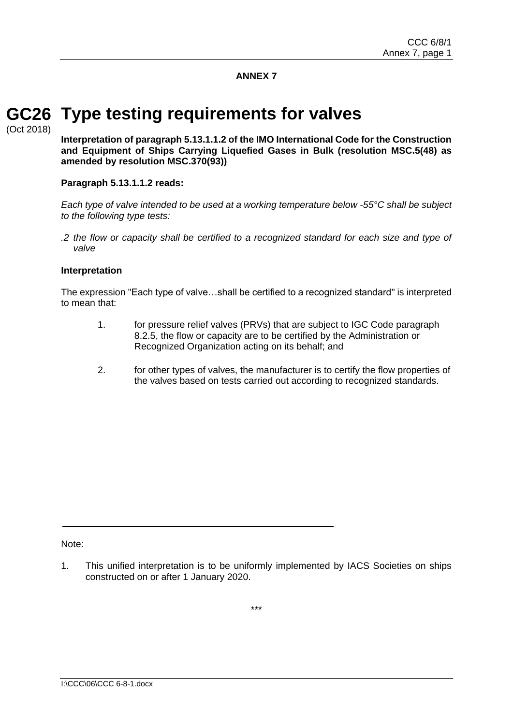## **Type testing requirements for valves GC26**

(Oct 2018)

**Interpretation of paragraph 5.13.1.1.2 of the IMO International Code for the Construction and Equipment of Ships Carrying Liquefied Gases in Bulk (resolution MSC.5(48) as amended by resolution MSC.370(93))**

## **Paragraph 5.13.1.1.2 reads:**

*Each type of valve intended to be used at a working temperature below -55°C shall be subject to the following type tests:*

*.2 the flow or capacity shall be certified to a recognized standard for each size and type of valve*

#### **Interpretation**

The expression "Each type of valve…shall be certified to a recognized standard" is interpreted to mean that:

- 1. for pressure relief valves (PRVs) that are subject to IGC Code paragraph 8.2.5, the flow or capacity are to be certified by the Administration or Recognized Organization acting on its behalf; and
- 2. for other types of valves, the manufacturer is to certify the flow properties of the valves based on tests carried out according to recognized standards.

Note:

<sup>1.</sup> This unified interpretation is to be uniformly implemented by IACS Societies on ships constructed on or after 1 January 2020.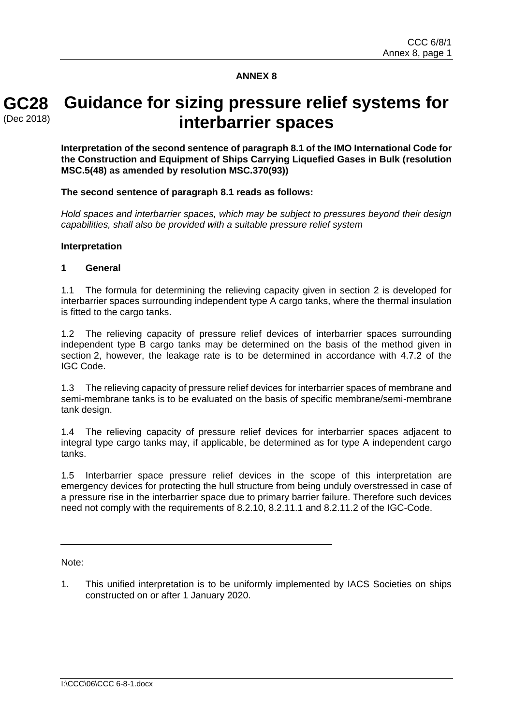## **GC28** (Dec 2018)

## **Guidance for sizing pressure relief systems for interbarrier spaces**

**Interpretation of the second sentence of paragraph 8.1 of the IMO International Code for the Construction and Equipment of Ships Carrying Liquefied Gases in Bulk (resolution MSC.5(48) as amended by resolution MSC.370(93))**

## **The second sentence of paragraph 8.1 reads as follows:**

*Hold spaces and interbarrier spaces, which may be subject to pressures beyond their design capabilities, shall also be provided with a suitable pressure relief system*

#### **Interpretation**

#### **1 General**

1.1 The formula for determining the relieving capacity given in section 2 is developed for interbarrier spaces surrounding independent type A cargo tanks, where the thermal insulation is fitted to the cargo tanks.

1.2 The relieving capacity of pressure relief devices of interbarrier spaces surrounding independent type B cargo tanks may be determined on the basis of the method given in section 2, however, the leakage rate is to be determined in accordance with 4.7.2 of the IGC Code.

1.3 The relieving capacity of pressure relief devices for interbarrier spaces of membrane and semi-membrane tanks is to be evaluated on the basis of specific membrane/semi-membrane tank design.

1.4 The relieving capacity of pressure relief devices for interbarrier spaces adjacent to integral type cargo tanks may, if applicable, be determined as for type A independent cargo tanks.

1.5 Interbarrier space pressure relief devices in the scope of this interpretation are emergency devices for protecting the hull structure from being unduly overstressed in case of a pressure rise in the interbarrier space due to primary barrier failure. Therefore such devices need not comply with the requirements of 8.2.10, 8.2.11.1 and 8.2.11.2 of the IGC-Code.

Note:

1. This unified interpretation is to be uniformly implemented by IACS Societies on ships constructed on or after 1 January 2020.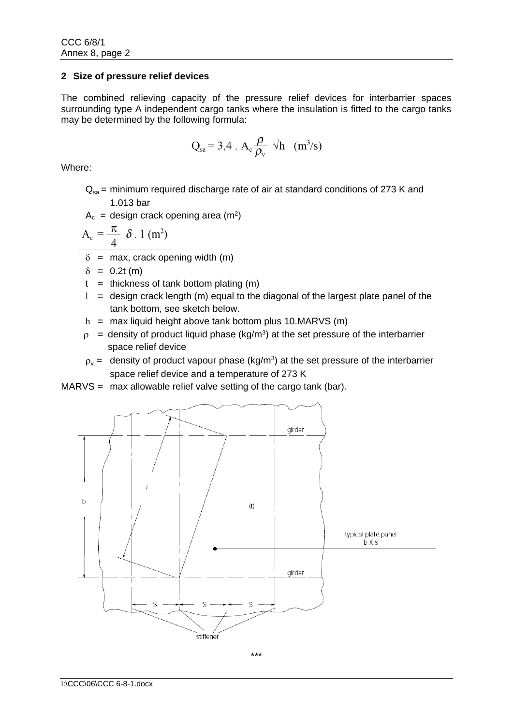## **2 Size of pressure relief devices**

The combined relieving capacity of the pressure relief devices for interbarrier spaces surrounding type A independent cargo tanks where the insulation is fitted to the cargo tanks may be determined by the following formula:

$$
Q_{sa} = 3.4 \cdot A_c \frac{\rho}{\rho_v} \sqrt{h} \ (m^3/s)
$$

Where:

 $Q_{\text{ss}}$  = minimum required discharge rate of air at standard conditions of 273 K and 1.013 bar

$$
A_c = design crack opening area (m2)
$$

$$
A_c = \frac{\pi}{4} \delta . 1 \text{ (m}^2\text{)}
$$

 $\delta$  = max, crack opening width (m)

 $\delta = 0.2t$  (m)

- $t =$  thickness of tank bottom plating  $(m)$
- $l =$  design crack length (m) equal to the diagonal of the largest plate panel of the tank bottom, see sketch below.
- $h =$  max liquid height above tank bottom plus 10.MARVS (m)
- $\rho$  = density of product liquid phase (kg/m<sup>3</sup>) at the set pressure of the interbarrier space relief device
- $\rho_{\rm v}$  = density of product vapour phase (kg/m<sup>3</sup>) at the set pressure of the interbarrier space relief device and a temperature of 273 K
- MARVS = max allowable relief valve setting of the cargo tank (bar).

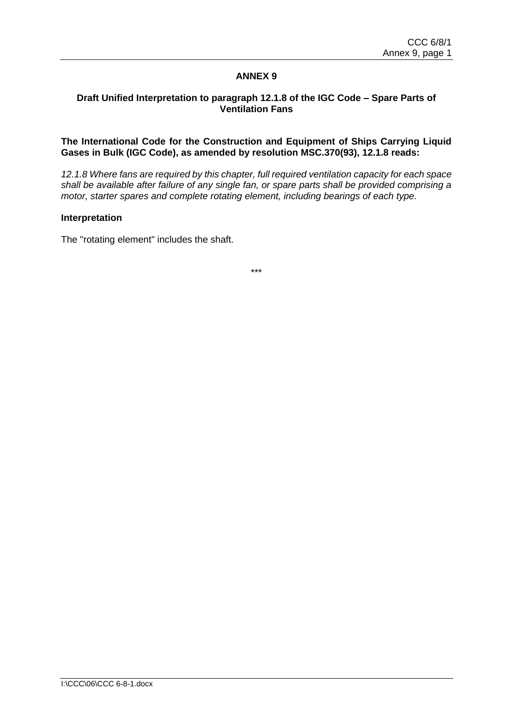## **Draft Unified Interpretation to paragraph 12.1.8 of the IGC Code – Spare Parts of Ventilation Fans**

## **The International Code for the Construction and Equipment of Ships Carrying Liquid Gases in Bulk (IGC Code), as amended by resolution MSC.370(93), 12.1.8 reads:**

*12.1.8 Where fans are required by this chapter, full required ventilation capacity for each space shall be available after failure of any single fan, or spare parts shall be provided comprising a motor, starter spares and complete rotating element, including bearings of each type.*

#### **Interpretation**

The "rotating element" includes the shaft.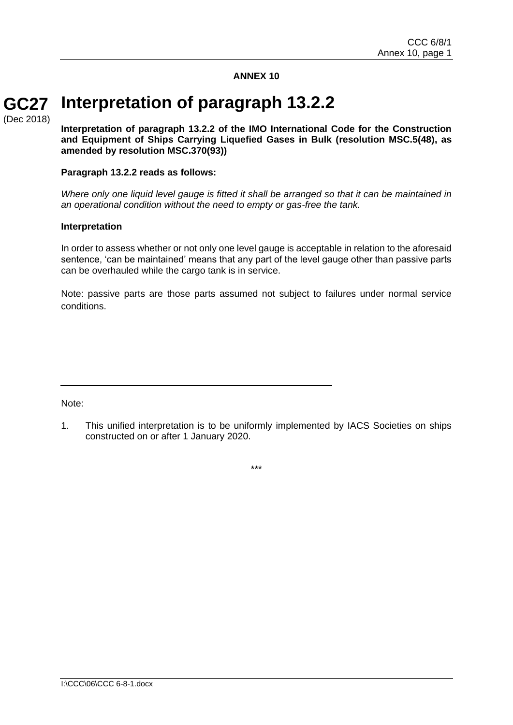#### **Interpretation of paragraph 13.2.2 GC27**

(Dec 2018)

**Interpretation of paragraph 13.2.2 of the IMO International Code for the Construction and Equipment of Ships Carrying Liquefied Gases in Bulk (resolution MSC.5(48), as amended by resolution MSC.370(93))**

#### **Paragraph 13.2.2 reads as follows:**

*Where only one liquid level gauge is fitted it shall be arranged so that it can be maintained in an operational condition without the need to empty or gas-free the tank.*

#### **Interpretation**

In order to assess whether or not only one level gauge is acceptable in relation to the aforesaid sentence, 'can be maintained' means that any part of the level gauge other than passive parts can be overhauled while the cargo tank is in service.

Note: passive parts are those parts assumed not subject to failures under normal service conditions.

Note:

<sup>1.</sup> This unified interpretation is to be uniformly implemented by IACS Societies on ships constructed on or after 1 January 2020.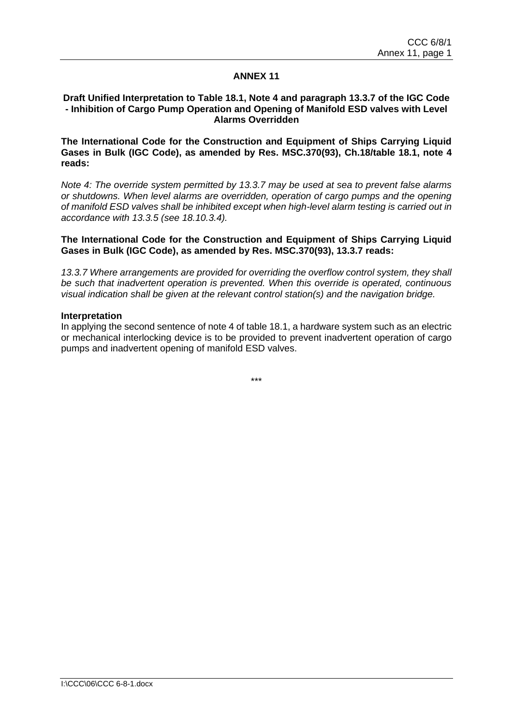#### **Draft Unified Interpretation to Table 18.1, Note 4 and paragraph 13.3.7 of the IGC Code - Inhibition of Cargo Pump Operation and Opening of Manifold ESD valves with Level Alarms Overridden**

**The International Code for the Construction and Equipment of Ships Carrying Liquid Gases in Bulk (IGC Code), as amended by Res. MSC.370(93), Ch.18/table 18.1, note 4 reads:**

*Note 4: The override system permitted by 13.3.7 may be used at sea to prevent false alarms or shutdowns. When level alarms are overridden, operation of cargo pumps and the opening of manifold ESD valves shall be inhibited except when high-level alarm testing is carried out in accordance with 13.3.5 (see 18.10.3.4).*

**The International Code for the Construction and Equipment of Ships Carrying Liquid Gases in Bulk (IGC Code), as amended by Res. MSC.370(93), 13.3.7 reads:**

*13.3.7 Where arrangements are provided for overriding the overflow control system, they shall be such that inadvertent operation is prevented. When this override is operated, continuous visual indication shall be given at the relevant control station(s) and the navigation bridge.*

#### **Interpretation**

In applying the second sentence of note 4 of table 18.1, a hardware system such as an electric or mechanical interlocking device is to be provided to prevent inadvertent operation of cargo pumps and inadvertent opening of manifold ESD valves.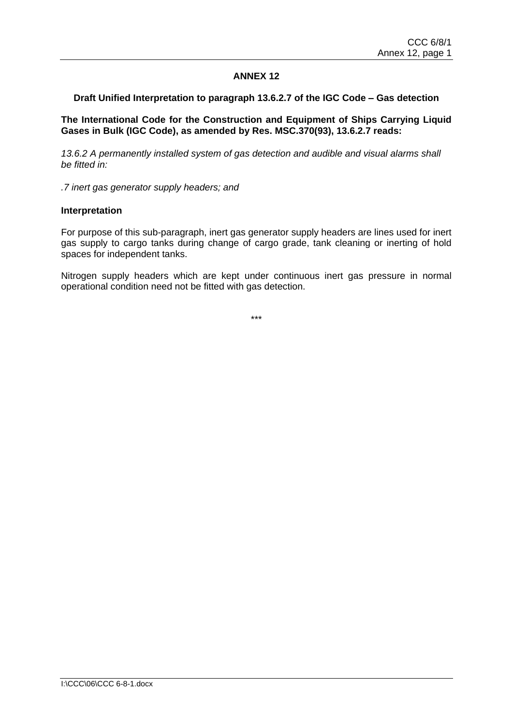## **Draft Unified Interpretation to paragraph 13.6.2.7 of the IGC Code – Gas detection**

**The International Code for the Construction and Equipment of Ships Carrying Liquid Gases in Bulk (IGC Code), as amended by Res. MSC.370(93), 13.6.2.7 reads:**

*13.6.2 A permanently installed system of gas detection and audible and visual alarms shall be fitted in:* 

*.7 inert gas generator supply headers; and* 

#### **Interpretation**

For purpose of this sub-paragraph, inert gas generator supply headers are lines used for inert gas supply to cargo tanks during change of cargo grade, tank cleaning or inerting of hold spaces for independent tanks.

Nitrogen supply headers which are kept under continuous inert gas pressure in normal operational condition need not be fitted with gas detection.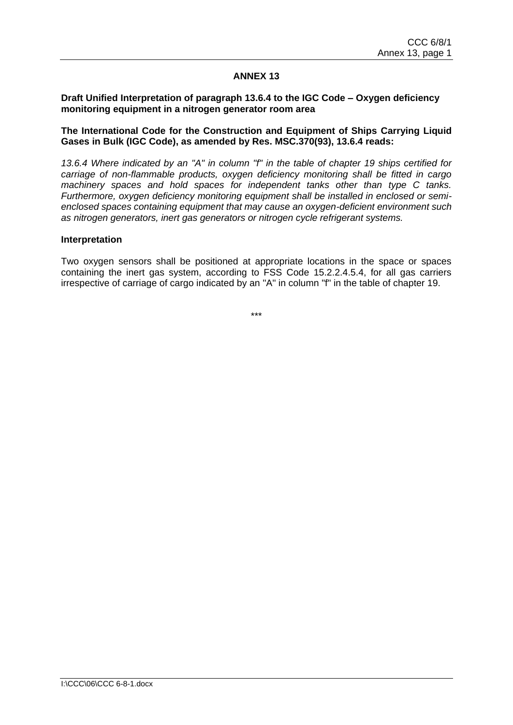## **Draft Unified Interpretation of paragraph 13.6.4 to the IGC Code – Oxygen deficiency monitoring equipment in a nitrogen generator room area**

#### **The International Code for the Construction and Equipment of Ships Carrying Liquid Gases in Bulk (IGC Code), as amended by Res. MSC.370(93), 13.6.4 reads:**

*13.6.4 Where indicated by an "A" in column "f" in the table of chapter 19 ships certified for carriage of non-flammable products, oxygen deficiency monitoring shall be fitted in cargo machinery spaces and hold spaces for independent tanks other than type C tanks. Furthermore, oxygen deficiency monitoring equipment shall be installed in enclosed or semienclosed spaces containing equipment that may cause an oxygen-deficient environment such as nitrogen generators, inert gas generators or nitrogen cycle refrigerant systems.*

#### **Interpretation**

Two oxygen sensors shall be positioned at appropriate locations in the space or spaces containing the inert gas system, according to FSS Code 15.2.2.4.5.4, for all gas carriers irrespective of carriage of cargo indicated by an "A" in column "f" in the table of chapter 19.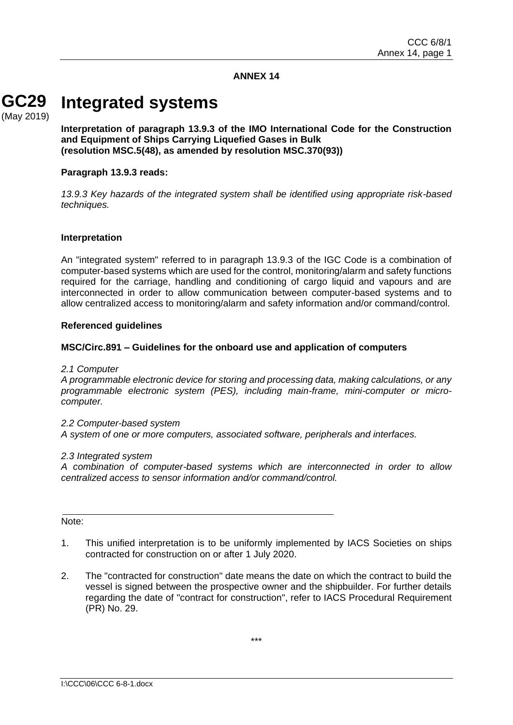#### **Integrated systems GC29** (May 2019)

**Interpretation of paragraph 13.9.3 of the IMO International Code for the Construction and Equipment of Ships Carrying Liquefied Gases in Bulk (resolution MSC.5(48), as amended by resolution MSC.370(93))**

#### **Paragraph 13.9.3 reads:**

*13.9.3 Key hazards of the integrated system shall be identified using appropriate risk-based techniques.*

#### **Interpretation**

An "integrated system" referred to in paragraph 13.9.3 of the IGC Code is a combination of computer-based systems which are used for the control, monitoring/alarm and safety functions required for the carriage, handling and conditioning of cargo liquid and vapours and are interconnected in order to allow communication between computer-based systems and to allow centralized access to monitoring/alarm and safety information and/or command/control.

#### **Referenced guidelines**

## **MSC/Circ.891 – Guidelines for the onboard use and application of computers**

*2.1 Computer*

*A programmable electronic device for storing and processing data, making calculations, or any programmable electronic system (PES), including main-frame, mini-computer or microcomputer.*

#### *2.2 Computer-based system*

*A system of one or more computers, associated software, peripherals and interfaces.*

#### *2.3 Integrated system*

*A combination of computer-based systems which are interconnected in order to allow centralized access to sensor information and/or command/control.*

#### Note:

- 1. This unified interpretation is to be uniformly implemented by IACS Societies on ships contracted for construction on or after 1 July 2020.
- 2. The "contracted for construction" date means the date on which the contract to build the vessel is signed between the prospective owner and the shipbuilder. For further details regarding the date of "contract for construction", refer to IACS Procedural Requirement (PR) No. 29.